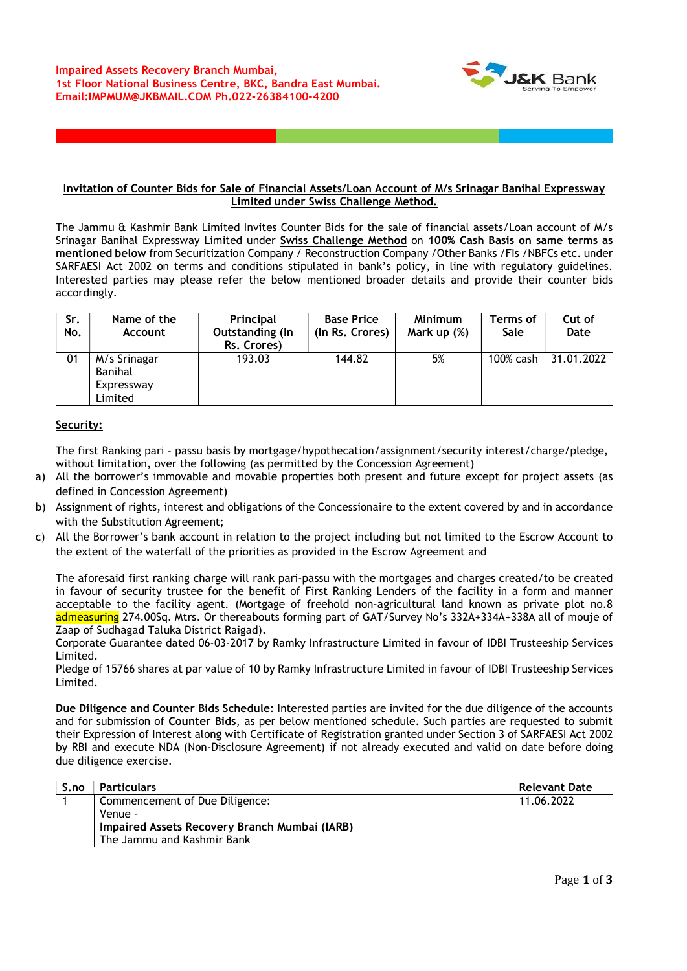

## Invitation of Counter Bids for Sale of Financial Assets/Loan Account of M/s Srinagar Banihal Expressway Limited under Swiss Challenge Method.

The Jammu & Kashmir Bank Limited Invites Counter Bids for the sale of financial assets/Loan account of M/s Srinagar Banihal Expressway Limited under Swiss Challenge Method on 100% Cash Basis on same terms as mentioned below from Securitization Company / Reconstruction Company / Other Banks / FIs / NBFCs etc. under SARFAESI Act 2002 on terms and conditions stipulated in bank's policy, in line with regulatory guidelines. Interested parties may please refer the below mentioned broader details and provide their counter bids accordingly.

| Sr.<br>No. | Name of the<br><b>Account</b>                    | Principal<br>Outstanding (In<br>Rs. Crores) | <b>Base Price</b><br>(In Rs. Crores) | <b>Minimum</b><br>Mark up (%) | Terms of<br><b>Sale</b> | Cut of<br>Date |
|------------|--------------------------------------------------|---------------------------------------------|--------------------------------------|-------------------------------|-------------------------|----------------|
| 01         | M/s Srinagar<br>Banihal<br>Expressway<br>Limited | 193.03                                      | 144.82                               | 5%                            | 100% cash               | 31.01.2022     |

## Security:

The first Ranking pari - passu basis by mortgage/hypothecation/assignment/security interest/charge/pledge, without limitation, over the following (as permitted by the Concession Agreement)

- a) All the borrower's immovable and movable properties both present and future except for project assets (as defined in Concession Agreement)
- b) Assignment of rights, interest and obligations of the Concessionaire to the extent covered by and in accordance with the Substitution Agreement;
- c) All the Borrower's bank account in relation to the project including but not limited to the Escrow Account to the extent of the waterfall of the priorities as provided in the Escrow Agreement and

The aforesaid first ranking charge will rank pari-passu with the mortgages and charges created/to be created in favour of security trustee for the benefit of First Ranking Lenders of the facility in a form and manner acceptable to the facility agent. (Mortgage of freehold non-agricultural land known as private plot no.8 admeasuring 274.00Sq. Mtrs. Or thereabouts forming part of GAT/Survey No's 332A+334A+338A all of mouje of Zaap of Sudhagad Taluka District Raigad).

Corporate Guarantee dated 06-03-2017 by Ramky Infrastructure Limited in favour of IDBI Trusteeship Services Limited.

Pledge of 15766 shares at par value of 10 by Ramky Infrastructure Limited in favour of IDBI Trusteeship Services Limited.

Due Diligence and Counter Bids Schedule: Interested parties are invited for the due diligence of the accounts and for submission of Counter Bids, as per below mentioned schedule. Such parties are requested to submit their Expression of Interest along with Certificate of Registration granted under Section 3 of SARFAESI Act 2002 by RBI and execute NDA (Non-Disclosure Agreement) if not already executed and valid on date before doing due diligence exercise.

| S.no | <b>Particulars</b>                            | <b>Relevant Date</b> |
|------|-----------------------------------------------|----------------------|
|      | Commencement of Due Diligence:                | 11.06.2022           |
|      | Venue -                                       |                      |
|      | Impaired Assets Recovery Branch Mumbai (IARB) |                      |
|      | The Jammu and Kashmir Bank                    |                      |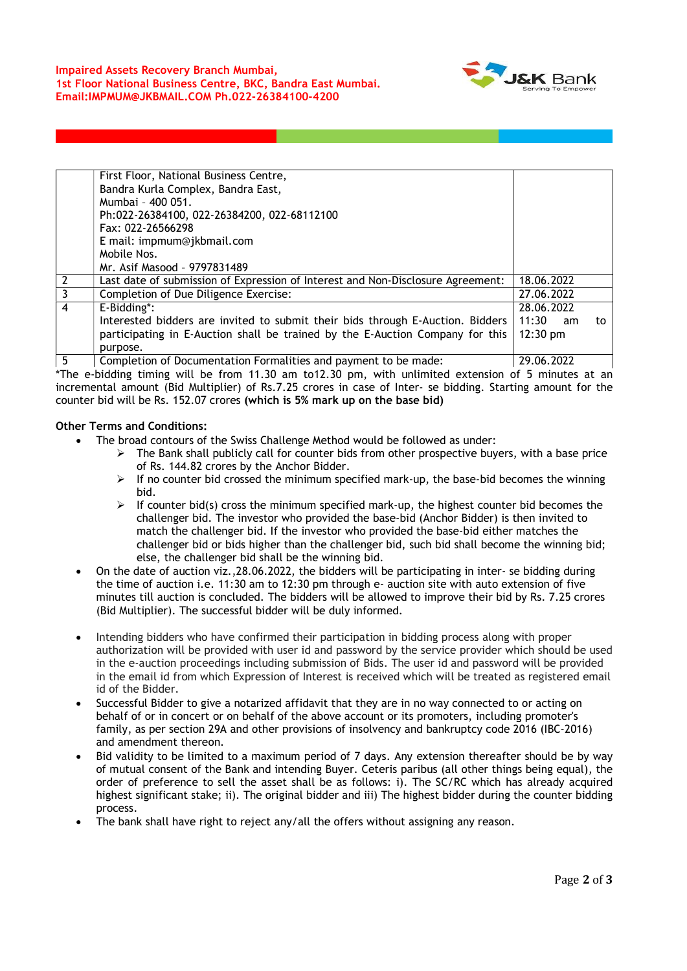

|          | First Floor, National Business Centre,                                                                                                                                                                                                 |                    |    |
|----------|----------------------------------------------------------------------------------------------------------------------------------------------------------------------------------------------------------------------------------------|--------------------|----|
|          | Bandra Kurla Complex, Bandra East,                                                                                                                                                                                                     |                    |    |
|          | Mumbai - 400 051.                                                                                                                                                                                                                      |                    |    |
|          | Ph:022-26384100, 022-26384200, 022-68112100                                                                                                                                                                                            |                    |    |
|          | Fax: 022-26566298                                                                                                                                                                                                                      |                    |    |
|          | E mail: impmum@jkbmail.com                                                                                                                                                                                                             |                    |    |
|          | Mobile Nos.                                                                                                                                                                                                                            |                    |    |
|          | Mr. Asif Masood - 9797831489                                                                                                                                                                                                           |                    |    |
|          | Last date of submission of Expression of Interest and Non-Disclosure Agreement:                                                                                                                                                        | 18.06.2022         |    |
|          | Completion of Due Diligence Exercise:                                                                                                                                                                                                  | 27.06.2022         |    |
| 4        | E-Bidding*:                                                                                                                                                                                                                            | 28.06.2022         |    |
|          | Interested bidders are invited to submit their bids through E-Auction. Bidders                                                                                                                                                         | 11:30<br>am        | to |
|          | participating in E-Auction shall be trained by the E-Auction Company for this                                                                                                                                                          | $12:30 \text{ pm}$ |    |
|          | purpose.                                                                                                                                                                                                                               |                    |    |
| <b>F</b> | $\mathcal{L}$ and the set of $\mathcal{D}$ and the set of the set of the set of the set of the set of the set of the set of the set of the set of the set of the set of the set of the set of the set of the set of the set of the set | 20.0132            |    |

5 Completion of Documentation Formalities and payment to be made: 29.06.2022 \*The e-bidding timing will be from 11.30 am to12.30 pm, with unlimited extension of 5 minutes at an incremental amount (Bid Multiplier) of Rs.7.25 crores in case of Inter- se bidding. Starting amount for the counter bid will be Rs. 152.07 crores (which is 5% mark up on the base bid)

## Other Terms and Conditions:

- The broad contours of the Swiss Challenge Method would be followed as under:
	- $\triangleright$  The Bank shall publicly call for counter bids from other prospective buyers, with a base price of Rs. 144.82 crores by the Anchor Bidder.
	- $\triangleright$  If no counter bid crossed the minimum specified mark-up, the base-bid becomes the winning bid.
	- $\triangleright$  If counter bid(s) cross the minimum specified mark-up, the highest counter bid becomes the challenger bid. The investor who provided the base-bid (Anchor Bidder) is then invited to match the challenger bid. If the investor who provided the base-bid either matches the challenger bid or bids higher than the challenger bid, such bid shall become the winning bid; else, the challenger bid shall be the winning bid.
- On the date of auction viz.,28.06.2022, the bidders will be participating in inter- se bidding during the time of auction i.e. 11:30 am to 12:30 pm through e- auction site with auto extension of five minutes till auction is concluded. The bidders will be allowed to improve their bid by Rs. 7.25 crores (Bid Multiplier). The successful bidder will be duly informed.
- Intending bidders who have confirmed their participation in bidding process along with proper authorization will be provided with user id and password by the service provider which should be used in the e-auction proceedings including submission of Bids. The user id and password will be provided in the email id from which Expression of Interest is received which will be treated as registered email id of the Bidder.
- Successful Bidder to give a notarized affidavit that they are in no way connected to or acting on behalf of or in concert or on behalf of the above account or its promoters, including promoter's family, as per section 29A and other provisions of insolvency and bankruptcy code 2016 (IBC-2016) and amendment thereon.
- Bid validity to be limited to a maximum period of 7 days. Any extension thereafter should be by way of mutual consent of the Bank and intending Buyer. Ceteris paribus (all other things being equal), the order of preference to sell the asset shall be as follows: i). The SC/RC which has already acquired highest significant stake; ii). The original bidder and iii) The highest bidder during the counter bidding process.
- The bank shall have right to reject any/all the offers without assigning any reason.